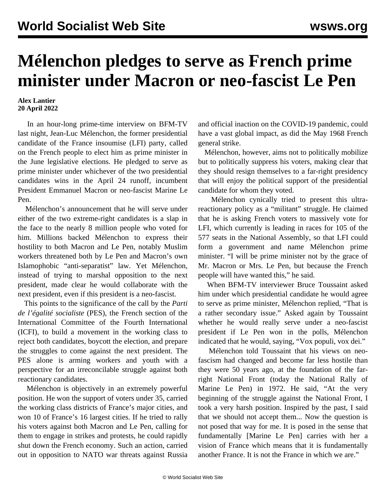## **Mélenchon pledges to serve as French prime minister under Macron or neo-fascist Le Pen**

## **Alex Lantier 20 April 2022**

 In an hour-long prime-time interview on BFM-TV last night, Jean-Luc Mélenchon, the former presidential candidate of the France insoumise (LFI) party, called on the French people to elect him as prime minister in the June legislative elections. He pledged to serve as prime minister under whichever of the two presidential candidates wins in the April 24 runoff, incumbent President Emmanuel Macron or neo-fascist Marine Le Pen.

 Mélenchon's announcement that he will serve under either of the two extreme-right candidates is a slap in the face to the nearly 8 million people who voted for him. Millions backed Mélenchon to express their hostility to both Macron and Le Pen, notably Muslim workers threatened both by Le Pen and Macron's own Islamophobic "anti-separatist" law. Yet Mélenchon, instead of trying to marshal opposition to the next president, made clear he would collaborate with the next president, even if this president is a neo-fascist.

 This points to the significance of the call by the *Parti de l'égalité socialiste* (PES), the French section of the International Committee of the Fourth International (ICFI), to build a movement in the working class to reject both candidates, boycott the election, and prepare the struggles to come against the next president. The PES alone is arming workers and youth with a perspective for an irreconcilable struggle against both reactionary candidates.

 Mélenchon is objectively in an extremely powerful position. He won the support of voters under 35, carried the working class districts of France's major cities, and won 10 of France's 16 largest cities. If he tried to rally his voters against both Macron and Le Pen, calling for them to engage in strikes and protests, he could rapidly shut down the French economy. Such an action, carried out in opposition to NATO war threats against Russia

and official inaction on the COVID-19 pandemic, could have a vast global impact, as did the May 1968 French general strike.

 Mélenchon, however, aims not to politically mobilize but to politically suppress his voters, making clear that they should resign themselves to a far-right presidency that will enjoy the political support of the presidential candidate for whom they voted.

 Mélenchon cynically tried to present this ultrareactionary policy as a "militant" struggle. He claimed that he is asking French voters to massively vote for LFI, which currently is leading in races for 105 of the 577 seats in the National Assembly, so that LFI could form a government and name Mélenchon prime minister. "I will be prime minister not by the grace of Mr. Macron or Mrs. Le Pen, but because the French people will have wanted this," he said.

 When BFM-TV interviewer Bruce Toussaint asked him under which presidential candidate he would agree to serve as prime minister, Mélenchon replied, "That is a rather secondary issue." Asked again by Toussaint whether he would really serve under a neo-fascist president if Le Pen won in the polls, Mélenchon indicated that he would, saying, "Vox populi, vox dei."

 Mélenchon told Toussaint that his views on neofascism had changed and become far less hostile than they were 50 years ago, at the foundation of the farright National Front (today the National Rally of Marine Le Pen) in 1972. He said, "At the very beginning of the struggle against the National Front, I took a very harsh position. Inspired by the past, I said that we should not accept them... Now the question is not posed that way for me. It is posed in the sense that fundamentally [Marine Le Pen] carries with her a vision of France which means that it is fundamentally another France. It is not the France in which we are."